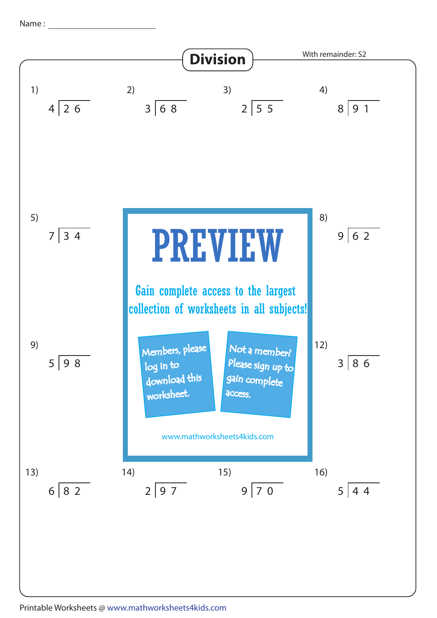